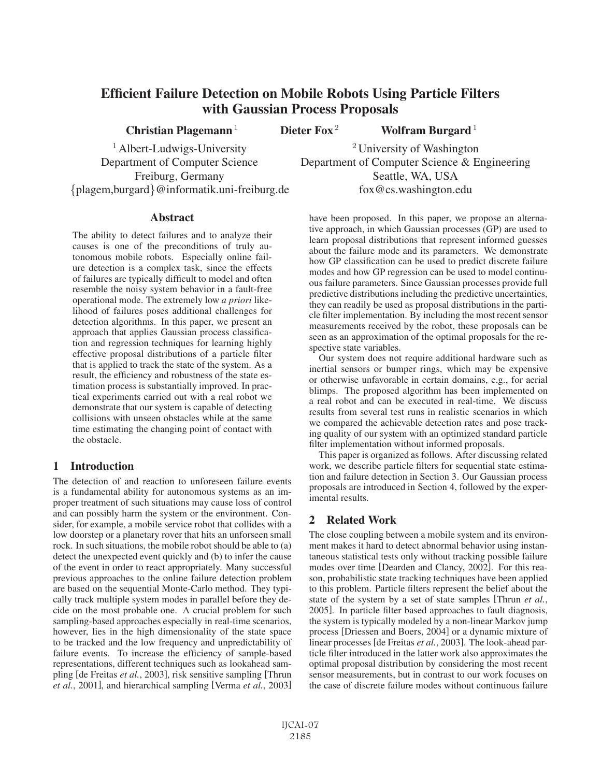# Efficient Failure Detection on Mobile Robots Using Particle Filters with Gaussian Process Proposals

Christian Plagemann<sup>1</sup> Dieter Fox<sup>2</sup> Wolfram Burgard<sup>1</sup>

{plagem,burgard}@informatik.uni-freiburg.de fox@cs.washington.edu

<sup>1</sup> Albert-Ludwigs-University <sup>2</sup> University of Washington Department of Computer Science Department of Computer Science & Engineering Freiburg, Germany Seattle, WA, USA

## Abstract

The ability to detect failures and to analyze their causes is one of the preconditions of truly autonomous mobile robots. Especially online failure detection is a complex task, since the effects of failures are typically difficult to model and often resemble the noisy system behavior in a fault-free operational mode. The extremely low *a priori* likelihood of failures poses additional challenges for detection algorithms. In this paper, we present an approach that applies Gaussian process classification and regression techniques for learning highly effective proposal distributions of a particle filter that is applied to track the state of the system. As a result, the efficiency and robustness of the state estimation process is substantially improved. In practical experiments carried out with a real robot we demonstrate that our system is capable of detecting collisions with unseen obstacles while at the same time estimating the changing point of contact with the obstacle.

## 1 Introduction

The detection of and reaction to unforeseen failure events is a fundamental ability for autonomous systems as an improper treatment of such situations may cause loss of control and can possibly harm the system or the environment. Consider, for example, a mobile service robot that collides with a low doorstep or a planetary rover that hits an unforseen small rock. In such situations, the mobile robot should be able to (a) detect the unexpected event quickly and (b) to infer the cause of the event in order to react appropriately. Many successful previous approaches to the online failure detection problem are based on the sequential Monte-Carlo method. They typically track multiple system modes in parallel before they decide on the most probable one. A crucial problem for such sampling-based approaches especially in real-time scenarios, however, lies in the high dimensionality of the state space to be tracked and the low frequency and unpredictability of failure events. To increase the efficiency of sample-based representations, different techniques such as lookahead sampling [de Freitas *et al.*, 2003], risk sensitive sampling [Thrun *et al.*, 2001], and hierarchical sampling [Verma *et al.*, 2003] have been proposed. In this paper, we propose an alternative approach, in which Gaussian processes (GP) are used to learn proposal distributions that represent informed guesses about the failure mode and its parameters. We demonstrate how GP classification can be used to predict discrete failure modes and how GP regression can be used to model continuous failure parameters. Since Gaussian processes provide full predictive distributions including the predictive uncertainties, they can readily be used as proposal distributions in the particle filter implementation. By including the most recent sensor measurements received by the robot, these proposals can be seen as an approximation of the optimal proposals for the respective state variables.

Our system does not require additional hardware such as inertial sensors or bumper rings, which may be expensive or otherwise unfavorable in certain domains, e.g., for aerial blimps. The proposed algorithm has been implemented on a real robot and can be executed in real-time. We discuss results from several test runs in realistic scenarios in which we compared the achievable detection rates and pose tracking quality of our system with an optimized standard particle filter implementation without informed proposals.

This paper is organized as follows. After discussing related work, we describe particle filters for sequential state estimation and failure detection in Section 3. Our Gaussian process proposals are introduced in Section 4, followed by the experimental results.

# 2 Related Work

The close coupling between a mobile system and its environment makes it hard to detect abnormal behavior using instantaneous statistical tests only without tracking possible failure modes over time [Dearden and Clancy, 2002]. For this reason, probabilistic state tracking techniques have been applied to this problem. Particle filters represent the belief about the state of the system by a set of state samples [Thrun *et al.*, 2005]. In particle filter based approaches to fault diagnosis, the system is typically modeled by a non-linear Markov jump process [Driessen and Boers, 2004] or a dynamic mixture of linear processes [de Freitas *et al.*, 2003]. The look-ahead particle filter introduced in the latter work also approximates the optimal proposal distribution by considering the most recent sensor measurements, but in contrast to our work focuses on the case of discrete failure modes without continuous failure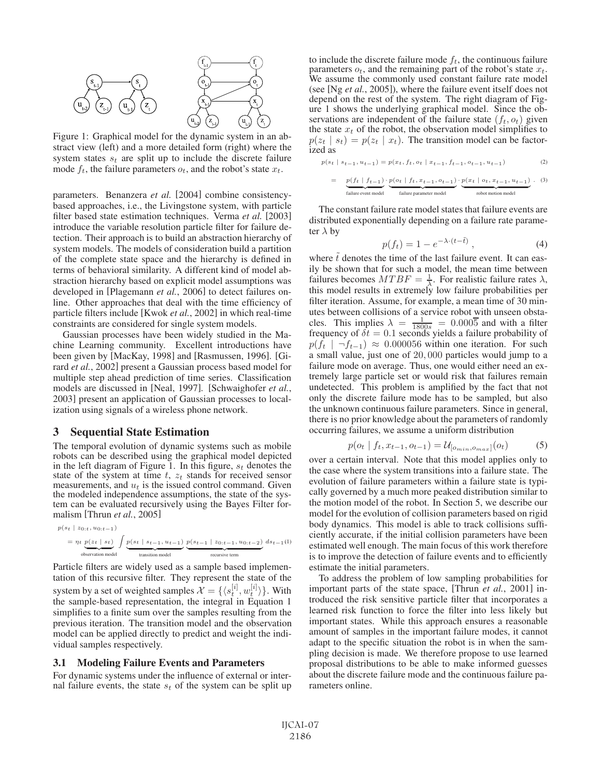

Figure 1: Graphical model for the dynamic system in an abstract view (left) and a more detailed form (right) where the system states  $s_t$  are split up to include the discrete failure mode  $f_t$ , the failure parameters  $o_t$ , and the robot's state  $x_t$ .

parameters. Benanzera *et al.* [2004] combine consistencybased approaches, i.e., the Livingstone system, with particle filter based state estimation techniques. Verma *et al.* [2003] introduce the variable resolution particle filter for failure detection. Their approach is to build an abstraction hierarchy of system models. The models of consideration build a partition of the complete state space and the hierarchy is defined in terms of behavioral similarity. A different kind of model abstraction hierarchy based on explicit model assumptions was developed in [Plagemann *et al.*, 2006] to detect failures online. Other approaches that deal with the time efficiency of particle filters include [Kwok *et al.*, 2002] in which real-time constraints are considered for single system models.

Gaussian processes have been widely studied in the Machine Learning community. Excellent introductions have been given by [MacKay, 1998] and [Rasmussen, 1996]. [Girard *et al.*, 2002] present a Gaussian process based model for multiple step ahead prediction of time series. Classification models are discussed in [Neal, 1997]. [Schwaighofer *et al.*, 2003] present an application of Gaussian processes to localization using signals of a wireless phone network.

### 3 Sequential State Estimation

The temporal evolution of dynamic systems such as mobile robots can be described using the graphical model depicted in the left diagram of Figure 1. In this figure,  $s_t$  denotes the state of the system at time  $t$ ,  $z_t$  stands for received sensor measurements, and  $u_t$  is the issued control command. Given the modeled independence assumptions, the state of the system can be evaluated recursively using the Bayes Filter formalism [Thrun *et al.*, 2005]

$$
\begin{split} p(s_t \mid z_{0:t}, u_{0:t-1}) \\ & = \eta_t \underbrace{p(z_t \mid s_t)}_{\text{observation model}} \int \underbrace{p(s_t \mid s_{t-1}, u_{t-1})}_{\text{transition model}} \underbrace{p(s_{t-1} \mid z_{0:t-1}, u_{0:t-2})}_{\text{recursive term}} \ ds_{t-1}(l) \end{split}
$$

Particle filters are widely used as a sample based implementation of this recursive filter. They represent the state of the system by a set of weighted samples  $\mathcal{X} = \{ \langle s_t^{[i]}, w_t^{[i]} \rangle \}$ . With the sample-based representation the integral in Equation 1 the sample-based representation, the integral in Equation 1 simplifies to a finite sum over the samples resulting from the previous iteration. The transition model and the observation model can be applied directly to predict and weight the individual samples respectively.

#### 3.1 Modeling Failure Events and Parameters

For dynamic systems under the influence of external or internal failure events, the state  $s_t$  of the system can be split up to include the discrete failure mode  $f_t$ , the continuous failure parameters  $o_t$ , and the remaining part of the robot's state  $x_t$ . We assume the commonly used constant failure rate model (see [Ng *et al.*, 2005]), where the failure event itself does not depend on the rest of the system. The right diagram of Figure 1 shows the underlying graphical model. Since the observations are independent of the failure state  $(f_t, o_t)$  given the state  $x_t$  of the robot, the observation model simplifies to  $p(z_t | s_t) = p(z_t | x_t)$ . The transition model can be factorized as

$$
p(s_t \mid s_{t-1}, u_{t-1}) = p(x_t, f_t, o_t \mid x_{t-1}, f_{t-1}, o_{t-1}, u_{t-1})
$$
\n(2)

$$
= \underbrace{p(f_t \mid f_{t-1})}_{\text{failure event model}} \cdot \underbrace{p(o_t \mid f_t, x_{t-1}, o_{t-1})}_{\text{failure parenter model}} \cdot \underbrace{p(x_t \mid o_t, x_{t-1}, u_{t-1})}_{\text{robot motion model}}. \tag{3}
$$

The constant failure rate model states that failure events are distributed exponentially depending on a failure rate parameter  $\lambda$  by

$$
p(f_t) = 1 - e^{-\lambda \cdot (t - \tilde{t})}, \tag{4}
$$

where  $\tilde{t}$  denotes the time of the last failure event. It can eas-<br>ily be shown that for such a model, the mean time between ily be shown that for such a model, the mean time between failures becomes  $MTBF = \frac{1}{\lambda}$ . For realistic failure rates  $\lambda$ , this model results in extremely low failure probabilities per this model results in extremely low failure probabilities per filter iteration. Assume, for example, a mean time of 30 minutes between collisions of a service robot with unseen obstacles. This implies  $\lambda = \frac{1}{1800s} = 0.000\overline{5}$  and with a filter frequency of  $\delta t = 0.1$  seconds yields a failure probability of frequency of  $\delta t = 0.1$  seconds yields a failure probability of  $p(f_t \mid \neg f_{t-1}) \approx 0.000056$  within one iteration. For such a small value, just one of <sup>20</sup>, <sup>000</sup> particles would jump to a failure mode on average. Thus, one would either need an extremely large particle set or would risk that failures remain undetected. This problem is amplified by the fact that not only the discrete failure mode has to be sampled, but also the unknown continuous failure parameters. Since in general, there is no prior knowledge about the parameters of randomly occurring failures, we assume a uniform distribution

$$
p(o_t | f_t, x_{t-1}, o_{t-1}) = \mathcal{U}_{[o_{min}, o_{max}]}(o_t)
$$
 (5)

 $p(o_t | f_t, x_{t-1}, o_{t-1}) = \mathcal{U}_{[o_{min}, o_{max}]}(o_t)$  (5)<br>over a certain interval. Note that this model applies only to the case where the system transitions into a failure state. The evolution of failure parameters within a failure state is typically governed by a much more peaked distribution similar to the motion model of the robot. In Section 5, we describe our model for the evolution of collision parameters based on rigid body dynamics. This model is able to track collisions sufficiently accurate, if the initial collision parameters have been estimated well enough. The main focus of this work therefore is to improve the detection of failure events and to efficiently estimate the initial parameters.

To address the problem of low sampling probabilities for important parts of the state space, [Thrun *et al.*, 2001] introduced the risk sensitive particle filter that incorporates a learned risk function to force the filter into less likely but important states. While this approach ensures a reasonable amount of samples in the important failure modes, it cannot adapt to the specific situation the robot is in when the sampling decision is made. We therefore propose to use learned proposal distributions to be able to make informed guesses about the discrete failure mode and the continuous failure parameters online.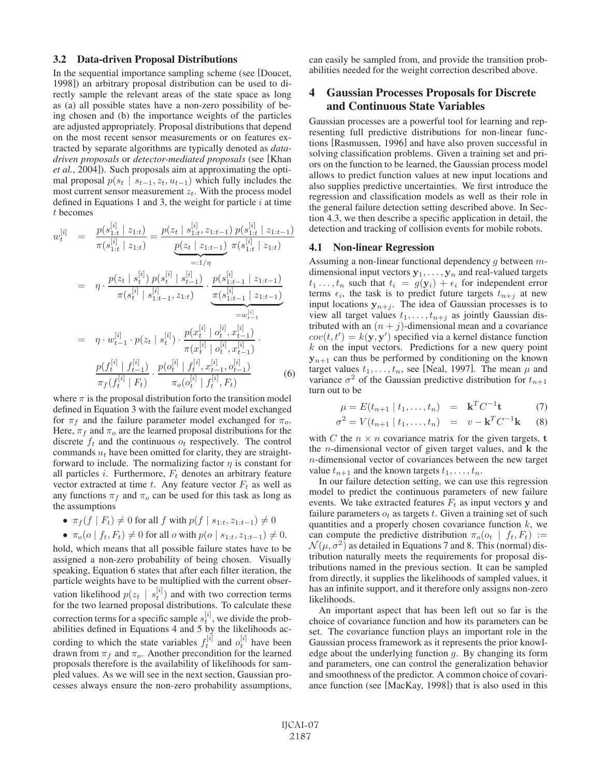#### 3.2 Data-driven Proposal Distributions

In the sequential importance sampling scheme (see [Doucet, 1998]) an arbitrary proposal distribution can be used to directly sample the relevant areas of the state space as long as (a) all possible states have a non-zero possibility of being chosen and (b) the importance weights of the particles are adjusted appropriately. Proposal distributions that depend on the most recent sensor measurements or on features extracted by separate algorithms are typically denoted as *datadriven proposals* or *detector-mediated proposals* (see [Khan *et al.*, 2004]). Such proposals aim at approximating the optimal proposal  $p(s_t | s_{t-1}, z_t, u_{t-1})$  which fully includes the most current sensor measurement  $z_t$ . With the process model defined in Equations 1 and 3, the weight for particle  $i$  at time t becomes

$$
w_{t}^{[i]} = \frac{p(s_{1:t}^{[i]} \mid z_{1:t})}{\pi(s_{1:t}^{[i]} \mid z_{1:t})} = \frac{p(z_{t} \mid s_{1:t}^{[i]}, z_{1:t-1}) p(s_{1:t}^{[i]} \mid z_{1:t-1})}{p(z_{t} \mid z_{1:t-1}) \pi(s_{1:t}^{[i]} \mid z_{1:t})}
$$

$$
= \eta \cdot \frac{p(z_{t} \mid s_{t}^{[i]}) p(s_{t}^{[i]} \mid s_{t-1}^{[i]})}{\pi(s_{t}^{[i]} \mid s_{1:t-1}^{[i]}, z_{1:t})} \cdot \frac{p(s_{1:t-1}^{[i]} \mid z_{1:t-1})}{\pi(s_{1:t-1}^{[i]} \mid z_{1:t-1})}
$$

$$
= \eta \cdot w_{t-1}^{[i]} \cdot p(z_{t} \mid s_{t}^{[i]}) \cdot \frac{p(x_{t}^{[i]} \mid o_{t}^{[i]}, x_{t-1}^{[i]})}{\pi(x_{t}^{[i]} \mid o_{t}^{[i]}, x_{t-1}^{[i]})}
$$

$$
\frac{p(f_{t}^{[i]} \mid f_{t-1}^{[i]})}{\pi_{f}(f_{t}^{[i]} \mid F_{t})} \cdot \frac{p(o_{t}^{[i]} \mid f_{t}^{[i]}, x_{t-1}^{[i]}, o_{t-1}^{[i]})}{\pi_{o}(o_{t}^{[i]} \mid f_{t}^{[i]}, F_{t})}
$$
(6)

where  $\pi$  is the proposal distribution forto the transition model<br>defined in Equation 3 with the failure event model exchanged defined in Equation 3 with the failure event model exchanged for  $\pi_f$  and the failure parameter model exchanged for  $\pi_o$ . Here,  $\pi_f$  and  $\pi_o$  are the learned proposal distributions for the discrete  $f_t$  and the continuous  $o_t$  respectively. The control commands  $u_t$  have been omitted for clarity, they are straightforward to include. The normalizing factor  $\eta$  is constant for all particles  $i$ . Furthermore,  $F_t$  denotes an arbitrary feature vector extracted at time  $t$ . Any feature vector  $F_t$  as well as any functions  $\pi_f$  and  $\pi_o$  can be used for this task as long as the assumptions

•  $\pi_f(f \mid F_t) \neq 0$  for all f with  $p(f \mid s_{1:t}, z_{1:t-1}) \neq 0$ 

• 
$$
\pi_o(o \mid f_t, F_t) \neq 0
$$
 for all *o* with  $p(o \mid s_{1:t}, z_{1:t-1}) \neq 0$ .

•  $\pi_o(o \mid f_t, F_t) \neq 0$  for all *o* with  $p(o \mid s_{1:t}, z_{1:t-1}) \neq 0$ .<br>hold, which means that all possible failure states have to be assigned a non-zero probability of being chosen. Visually speaking, Equation 6 states that after each filter iteration, the particle weights have to be multiplied with the current observation likelihood  $p(z_t \mid s_t^{[i]})$  and with two correction terms<br>for the two learned proposal distributions. To calculate these for the two learned proposal distributions. To calculate these correction terms for a specific sample  $s_t^{[i]}$ , we divide the prob-<br>abilities defined in Equations 4 and 5 by the likelihoods acabilities defined in Equations 4 and 5 by the likelihoods according to which the state variables  $f_t^{[i]}$  and  $o_t^{[i]}$  have been<br>drawn from  $\pi$ <sub>f</sub> and  $\pi$ . Another precondition for the learned drawn from  $\pi_f$  and  $\pi_o$ . Another precondition for the learned proposals therefore is the availability of likelihoods for sampled values. As we will see in the next section, Gaussian processes always ensure the non-zero probability assumptions, can easily be sampled from, and provide the transition probabilities needed for the weight correction described above.

# 4 Gaussian Processes Proposals for Discrete and Continuous State Variables

Gaussian processes are a powerful tool for learning and representing full predictive distributions for non-linear functions [Rasmussen, 1996] and have also proven successful in solving classification problems. Given a training set and priors on the function to be learned, the Gaussian process model allows to predict function values at new input locations and also supplies predictive uncertainties. We first introduce the regression and classification models as well as their role in the general failure detection setting described above. In Section 4.3, we then describe a specific application in detail, the detection and tracking of collision events for mobile robots.

#### 4.1 Non-linear Regression

Assuming a non-linear functional dependency g between mdimensional input vectors  $y_1, \ldots, y_n$  and real-valued targets  $t_1 \ldots, t_n$  such that  $t_i = g(\mathbf{y}_i) + \epsilon_i$  for independent error terms  $\epsilon_i$ , the task is to predict future targets  $t_{n+j}$  at new input locations  $y_{n+j}$ . The idea of Gaussian processes is to view all target values  $t_1, \ldots, t_{n+j}$  as jointly Gaussian distributed with an  $(n + j)$ -dimensional mean and a covariance  $cov(t, t') = k(\mathbf{y}, \mathbf{y}')$  specified via a kernel distance function k on the input vectors. Predictions for a new query point  $k$  on the input vectors. Predictions for a new query point  $y_{n+1}$  can thus be performed by conditioning on the known target values  $t_1, \ldots, t_n$ , see [Neal, 1997]. The mean  $\mu$  and variance  $\sigma^2$  of the Gaussian predictive distribution for  $t_{n+1}$ turn out to be

$$
\mu = E(t_{n+1} \mid t_1, \dots, t_n) = \mathbf{k}^T C^{-1} \mathbf{t} \tag{7}
$$

$$
\sigma^2 = V(t_{n+1} \mid t_1, \dots, t_n) = v - \mathbf{k}^T C^{-1} \mathbf{k} \quad (8)
$$

with C the  $n \times n$  covariance matrix for the given targets, **t** the n-dimensional vector of given target values, and **<sup>k</sup>** the n-dimensional vector of covariances between the new target value  $t_{n+1}$  and the known targets  $t_1, \ldots, t_n$ .

In our failure detection setting, we can use this regression model to predict the continuous parameters of new failure events. We take extracted features  $F_t$  as input vectors **y** and failure parameters  $o_t$  as targets t. Given a training set of such quantities and a properly chosen covariance function  $k$ , we can compute the predictive distribution  $\pi_o(o_t | f_t, F_t) :=$  $\mathcal{N}(\mu, \sigma^2)$  as detailed in Equations 7 and 8. This (normal) distribution naturally meets the requirements for proposal distributions named in the previous section. It can be sampled from directly, it supplies the likelihoods of sampled values, it has an infinite support, and it therefore only assigns non-zero likelihoods.

An important aspect that has been left out so far is the choice of covariance function and how its parameters can be set. The covariance function plays an important role in the Gaussian process framework as it represents the prior knowledge about the underlying function  $g$ . By changing its form and parameters, one can control the generalization behavior and smoothness of the predictor. A common choice of covariance function (see [MacKay, 1998]) that is also used in this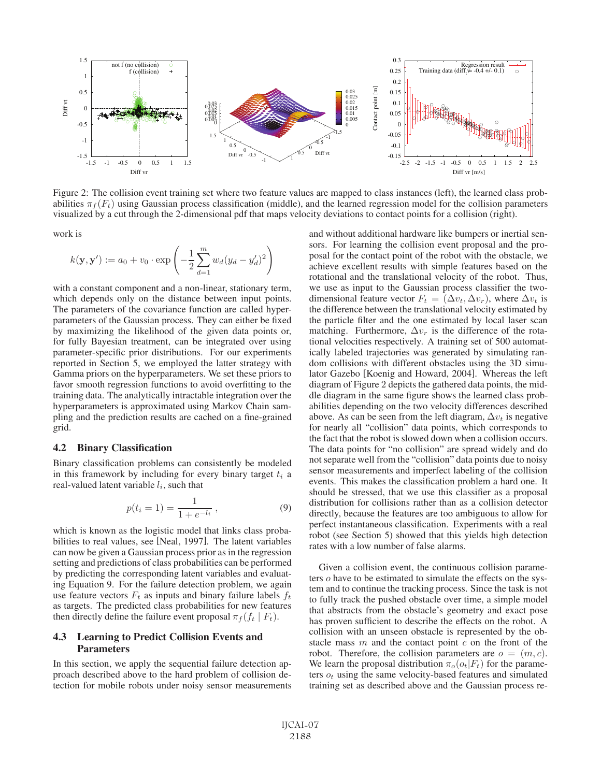

Figure 2: The collision event training set where two feature values are mapped to class instances (left), the learned class probabilities  $\pi_f(F_t)$  using Gaussian process classification (middle), and the learned regression model for the collision parameters visualized by a cut through the 2-dimensional pdf that maps velocity deviations to contact points for a collision (right).

work is

$$
k(\mathbf{y}, \mathbf{y}') := a_0 + v_0 \cdot \exp\left(-\frac{1}{2} \sum_{d=1}^{m} w_d (y_d - y'_d)^2\right)
$$

with a constant component and a non-linear, stationary term, which depends only on the distance between input points. The parameters of the covariance function are called hyperparameters of the Gaussian process. They can either be fixed by maximizing the likelihood of the given data points or, for fully Bayesian treatment, can be integrated over using parameter-specific prior distributions. For our experiments reported in Section 5, we employed the latter strategy with Gamma priors on the hyperparameters. We set these priors to favor smooth regression functions to avoid overfitting to the training data. The analytically intractable integration over the hyperparameters is approximated using Markov Chain sampling and the prediction results are cached on a fine-grained grid.

#### 4.2 Binary Classification

Binary classification problems can consistently be modeled in this framework by including for every binary target  $t_i$  a real-valued latent variable  $l_i$ , such that

$$
p(t_i = 1) = \frac{1}{1 + e^{-l_i}},
$$
\n(9)

which is known as the logistic model that links class probabilities to real values, see [Neal, 1997]. The latent variables can now be given a Gaussian process prior as in the regression setting and predictions of class probabilities can be performed by predicting the corresponding latent variables and evaluating Equation 9. For the failure detection problem, we again use feature vectors  $F_t$  as inputs and binary failure labels  $f_t$ as targets. The predicted class probabilities for new features then directly define the failure event proposal  $\pi_f (f_t | F_t)$ .

## 4.3 Learning to Predict Collision Events and Parameters

In this section, we apply the sequential failure detection approach described above to the hard problem of collision detection for mobile robots under noisy sensor measurements and without additional hardware like bumpers or inertial sensors. For learning the collision event proposal and the proposal for the contact point of the robot with the obstacle, we achieve excellent results with simple features based on the rotational and the translational velocity of the robot. Thus, we use as input to the Gaussian process classifier the twodimensional feature vector  $F_t = (\Delta v_t, \Delta v_r)$ , where  $\Delta v_t$  is the difference between the translational velocity estimated by the particle filter and the one estimated by local laser scan matching. Furthermore,  $\Delta v_r$  is the difference of the rotational velocities respectively. A training set of 500 automatically labeled trajectories was generated by simulating random collisions with different obstacles using the 3D simulator Gazebo [Koenig and Howard, 2004]. Whereas the left diagram of Figure 2 depicts the gathered data points, the middle diagram in the same figure shows the learned class probabilities depending on the two velocity differences described above. As can be seen from the left diagram,  $\Delta v_t$  is negative for nearly all "collision" data points, which corresponds to the fact that the robot is slowed down when a collision occurs. The data points for "no collision" are spread widely and do not separate well from the "collision" data points due to noisy sensor measurements and imperfect labeling of the collision events. This makes the classification problem a hard one. It should be stressed, that we use this classifier as a proposal distribution for collisions rather than as a collision detector directly, because the features are too ambiguous to allow for perfect instantaneous classification. Experiments with a real robot (see Section 5) showed that this yields high detection rates with a low number of false alarms.

Given a collision event, the continuous collision parameters o have to be estimated to simulate the effects on the system and to continue the tracking process. Since the task is not to fully track the pushed obstacle over time, a simple model that abstracts from the obstacle's geometry and exact pose has proven sufficient to describe the effects on the robot. A collision with an unseen obstacle is represented by the obstacle mass  $m$  and the contact point  $c$  on the front of the robot. Therefore, the collision parameters are  $o = (m, c)$ . We learn the proposal distribution  $\pi_o(o_t|F_t)$  for the parameters  $o_t$  using the same velocity-based features and simulated training set as described above and the Gaussian process re-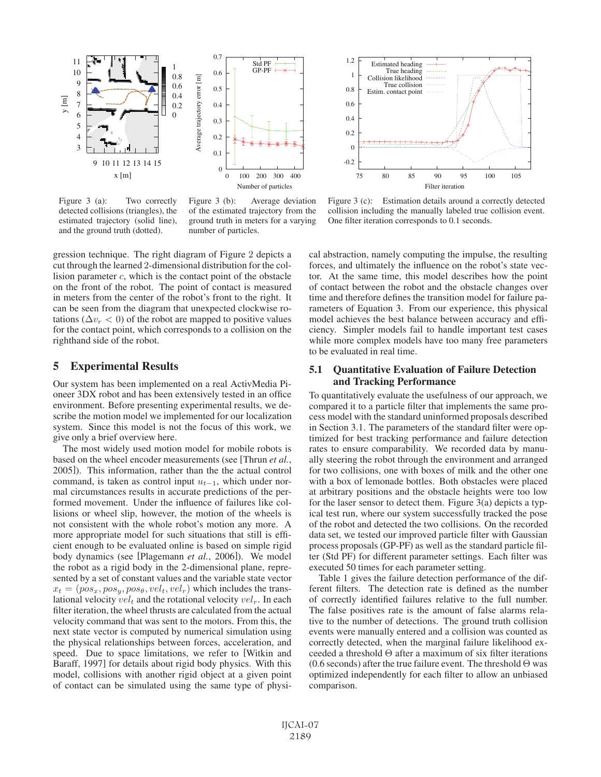



Figure 3 (a): Two correctly detected collisions (triangles), the estimated trajectory (solid line), and the ground truth (dotted).

Figure 3 (b): Average deviation of the estimated trajectory from the ground truth in meters for a varying number of particles.

Figure 3 (c): Estimation details around a correctly detected collision including the manually labeled true collision event. One filter iteration corresponds to 0.1 seconds.

gression technique. The right diagram of Figure 2 depicts a cut through the learned 2-dimensional distribution for the collision parameter c, which is the contact point of the obstacle on the front of the robot. The point of contact is measured in meters from the center of the robot's front to the right. It can be seen from the diagram that unexpected clockwise rotations ( $\Delta v_r < 0$ ) of the robot are mapped to positive values for the contact point, which corresponds to a collision on the righthand side of the robot.

# 5 Experimental Results

Our system has been implemented on a real ActivMedia Pioneer 3DX robot and has been extensively tested in an office environment. Before presenting experimental results, we describe the motion model we implemented for our localization system. Since this model is not the focus of this work, we give only a brief overview here.

The most widely used motion model for mobile robots is based on the wheel encoder measurements (see [Thrun *et al.*, 2005]). This information, rather than the the actual control command, is taken as control input  $u_{t-1}$ , which under normal circumstances results in accurate predictions of the performed movement. Under the influence of failures like collisions or wheel slip, however, the motion of the wheels is not consistent with the whole robot's motion any more. A more appropriate model for such situations that still is efficient enough to be evaluated online is based on simple rigid body dynamics (see [Plagemann *et al.*, 2006]). We model the robot as a rigid body in the 2-dimensional plane, represented by a set of constant values and the variable state vector  $x_t = (pos_x, pos_y, pos_\theta, vel_t, vel_r)$  which includes the translational velocity  $vel_t$  and the rotational velocity  $vel_r$ . In each filter iteration, the wheel thrusts are calculated from the actual velocity command that was sent to the motors. From this, the next state vector is computed by numerical simulation using the physical relationships between forces, acceleration, and speed. Due to space limitations, we refer to [Witkin and Baraff, 1997] for details about rigid body physics. With this model, collisions with another rigid object at a given point of contact can be simulated using the same type of physical abstraction, namely computing the impulse, the resulting forces, and ultimately the influence on the robot's state vector. At the same time, this model describes how the point of contact between the robot and the obstacle changes over time and therefore defines the transition model for failure parameters of Equation 3. From our experience, this physical model achieves the best balance between accuracy and efficiency. Simpler models fail to handle important test cases while more complex models have too many free parameters to be evaluated in real time.

## 5.1 Quantitative Evaluation of Failure Detection and Tracking Performance

To quantitatively evaluate the usefulness of our approach, we compared it to a particle filter that implements the same process model with the standard uninformed proposals described in Section 3.1. The parameters of the standard filter were optimized for best tracking performance and failure detection rates to ensure comparability. We recorded data by manually steering the robot through the environment and arranged for two collisions, one with boxes of milk and the other one with a box of lemonade bottles. Both obstacles were placed at arbitrary positions and the obstacle heights were too low for the laser sensor to detect them. Figure 3(a) depicts a typical test run, where our system successfully tracked the pose of the robot and detected the two collisions. On the recorded data set, we tested our improved particle filter with Gaussian process proposals (GP-PF) as well as the standard particle filter (Std PF) for different parameter settings. Each filter was executed 50 times for each parameter setting.

Table 1 gives the failure detection performance of the different filters. The detection rate is defined as the number of correctly identified failures relative to the full number. The false positives rate is the amount of false alarms relative to the number of detections. The ground truth collision events were manually entered and a collision was counted as correctly detected, when the marginal failure likelihood exceeded a threshold Θ after a maximum of six filter iterations (0.6 seconds) after the true failure event. The threshold  $\Theta$  was optimized independently for each filter to allow an unbiased comparison.